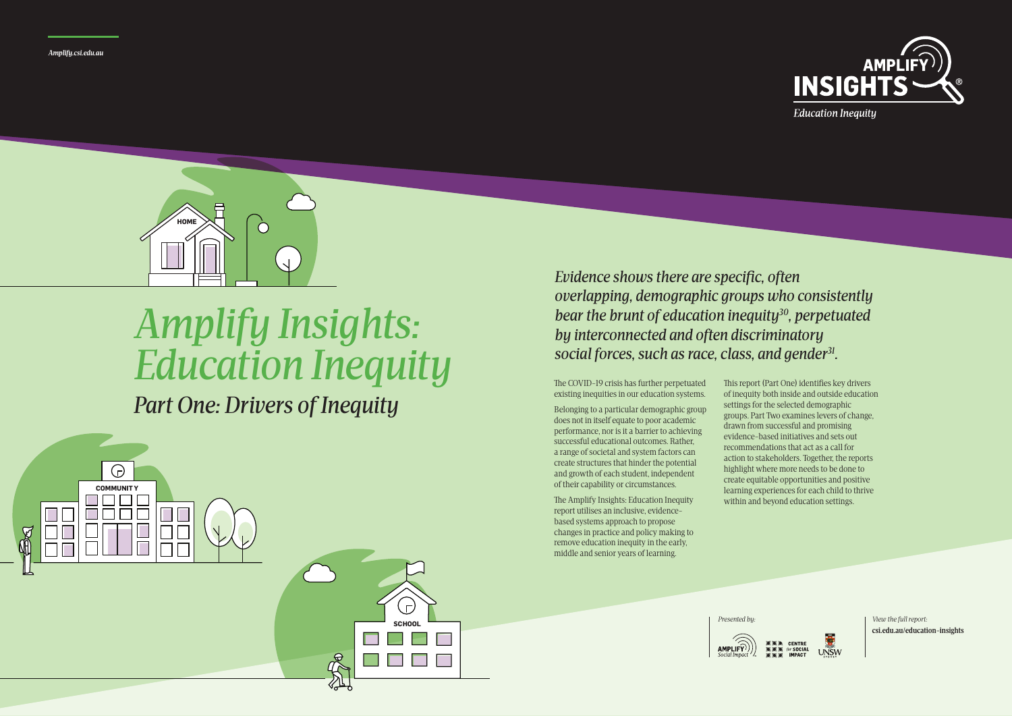The COVID-19 crisis has further perpetuated existing inequities in our education systems.

Belonging to a particular demographic group does not in itself equate to poor academic performance, nor is it a barrier to achieving successful educational outcomes. Rather, a range of societal and system factors can create structures that hinder the potential and growth of each student, independent of their capability or circumstances.

The Amplify Insights: Education Inequity report utilises an inclusive, evidencebased systems approach to propose changes in practice and policy making to remove education inequity in the early, middle and senior years of learning.





**Education Inequity** 

*Presented by: View the full report:* **csi.edu.au/education-insights**

This report (Part One) identifies key drivers of inequity both inside and outside education settings for the selected demographic groups. Part Two examines levers of change, drawn from successful and promising evidence-based initiatives and sets out recommendations that act as a call for action to stakeholders. Together, the reports highlight where more needs to be done to create equitable opportunities and positive learning experiences for each child to thrive within and beyond education settings.



*Evidence shows there are specific, often overlapping, demographic groups who consistently bear the brunt of education inequity30, perpetuated by interconnected and often discriminatory social forces, such as race, class, and gender31.* 

## *Amplify Insights: Education Inequity*

*Part One: Drivers of Inequity*





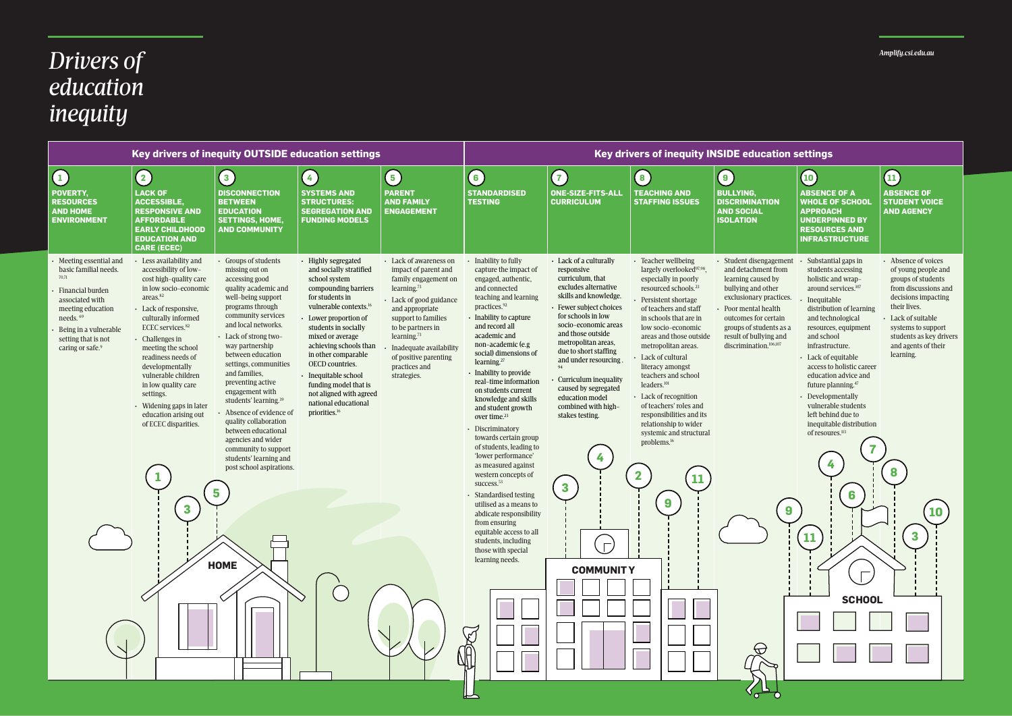| Key drivers of inequity OUTSIDE education settings                                                                                                                                                                          |                                                                                                                                                                                                                                                                                                                                                                                                                                          |                                                                                                                                                                                                                                                                                                                                                                                                                                                                                                                                                                   |                                                                                                                                                                                                                                                                                                                                                                                                                            |                                                                                                                                                                                                                                                                                                          | Key drivers of inequity INSIDE education settings                                                                                                                                                                                                                                                                                                                                                                                                                                                                                                                                                                                                                                                                                                                                                                           |                                                                                                                                                                                                                                                                                                                                                                                                                                                |                                                                                                                                                                                                                                                                                                                                                                                                                                                                                                                                                         |                                                                                                                                                                                                                                                                |                                                                                                                                                                                                                                                                   |
|-----------------------------------------------------------------------------------------------------------------------------------------------------------------------------------------------------------------------------|------------------------------------------------------------------------------------------------------------------------------------------------------------------------------------------------------------------------------------------------------------------------------------------------------------------------------------------------------------------------------------------------------------------------------------------|-------------------------------------------------------------------------------------------------------------------------------------------------------------------------------------------------------------------------------------------------------------------------------------------------------------------------------------------------------------------------------------------------------------------------------------------------------------------------------------------------------------------------------------------------------------------|----------------------------------------------------------------------------------------------------------------------------------------------------------------------------------------------------------------------------------------------------------------------------------------------------------------------------------------------------------------------------------------------------------------------------|----------------------------------------------------------------------------------------------------------------------------------------------------------------------------------------------------------------------------------------------------------------------------------------------------------|-----------------------------------------------------------------------------------------------------------------------------------------------------------------------------------------------------------------------------------------------------------------------------------------------------------------------------------------------------------------------------------------------------------------------------------------------------------------------------------------------------------------------------------------------------------------------------------------------------------------------------------------------------------------------------------------------------------------------------------------------------------------------------------------------------------------------------|------------------------------------------------------------------------------------------------------------------------------------------------------------------------------------------------------------------------------------------------------------------------------------------------------------------------------------------------------------------------------------------------------------------------------------------------|---------------------------------------------------------------------------------------------------------------------------------------------------------------------------------------------------------------------------------------------------------------------------------------------------------------------------------------------------------------------------------------------------------------------------------------------------------------------------------------------------------------------------------------------------------|----------------------------------------------------------------------------------------------------------------------------------------------------------------------------------------------------------------------------------------------------------------|-------------------------------------------------------------------------------------------------------------------------------------------------------------------------------------------------------------------------------------------------------------------|
| $\left(1\right)$                                                                                                                                                                                                            | (2)                                                                                                                                                                                                                                                                                                                                                                                                                                      | $\vert 3 \vert$                                                                                                                                                                                                                                                                                                                                                                                                                                                                                                                                                   | $\vert 4 \vert$                                                                                                                                                                                                                                                                                                                                                                                                            | $\left(5\right)$                                                                                                                                                                                                                                                                                         | $\left( \begin{matrix} 6 \end{matrix} \right)$                                                                                                                                                                                                                                                                                                                                                                                                                                                                                                                                                                                                                                                                                                                                                                              | $\begin{array}{c} \n7 \end{array}$                                                                                                                                                                                                                                                                                                                                                                                                             | 8                                                                                                                                                                                                                                                                                                                                                                                                                                                                                                                                                       | 9                                                                                                                                                                                                                                                              | $\left( 10\right)$                                                                                                                                                                                                                                                |
| POVERTY,<br><b>RESOURCES</b><br><b>AND HOME</b><br><b>ENVIRONMENT</b>                                                                                                                                                       | <b>LACK OF</b><br><b>ACCESSIBLE,</b><br><b>RESPONSIVE AND</b><br><b>AFFORDABLE</b><br><b>EARLY CHILDHOOD</b><br><b>EDUCATION AND</b><br><b>CARE (ECEC)</b>                                                                                                                                                                                                                                                                               | <b>DISCONNECTION</b><br><b>BETWEEN</b><br><b>EDUCATION</b><br><b>SETTINGS, HOME,</b><br><b>AND COMMUNITY</b>                                                                                                                                                                                                                                                                                                                                                                                                                                                      | <b>SYSTEMS AND</b><br><b>STRUCTURES:</b><br><b>SEGREGATION AND</b><br><b>FUNDING MODELS</b>                                                                                                                                                                                                                                                                                                                                | <b>PARENT</b><br><b>AND FAMILY</b><br><b>ENGAGEMENT</b>                                                                                                                                                                                                                                                  | <b>STANDARDISED</b><br><b>TESTING</b>                                                                                                                                                                                                                                                                                                                                                                                                                                                                                                                                                                                                                                                                                                                                                                                       | <b>ONE-SIZE-FITS-ALL</b><br><b>CURRICULUM</b>                                                                                                                                                                                                                                                                                                                                                                                                  | <b>TEACHING AND</b><br><b>STAFFING ISSUES</b>                                                                                                                                                                                                                                                                                                                                                                                                                                                                                                           | <b>BULLYING,</b><br><b>DISCRIMINATION</b><br><b>AND SOCIAL</b><br><b>ISOLATION</b>                                                                                                                                                                             | <b>ABSENCI</b><br><b>WHOLE O</b><br><b>APPROA</b><br><b>UNDERPI</b><br><b>RESOURD</b><br><b>INFRAST</b>                                                                                                                                                           |
| Meeting essential and<br>basic familial needs.<br>70,71<br>Financial burden<br>associated with<br>meeting education<br>needs. <sup>69</sup><br>Being in a vulnerable<br>setting that is not<br>caring or safe. <sup>9</sup> | - Less availability and<br>accessibility of low-<br>cost high-quality care<br>in low socio-economic<br>areas. <sup>82</sup><br>• Lack of responsive,<br>culturally informed<br>ECEC services. <sup>82</sup><br>Challenges in<br>meeting the school<br>readiness needs of<br>developmentally<br>vulnerable children<br>in low quality care<br>settings.<br>- Widening gaps in later<br>education arising out<br>of ECEC disparities.<br>3 | • Groups of students<br>missing out on<br>accessing good<br>quality academic and<br>well-being support<br>programs through<br>community services<br>and local networks.<br>- Lack of strong two-<br>way partnership<br>between education<br>settings, communities<br>and families,<br>preventing active<br>engagement with<br>students' learning. <sup>39</sup><br>Absence of evidence of<br>quality collaboration<br>between educational<br>agencies and wider<br>community to support<br>students' learning and<br>post school aspirations.<br>5<br><b>HOME</b> | - Highly segregated<br>and socially stratified<br>school system<br>compounding barriers<br>for students in<br>vulnerable contexts. <sup>16</sup><br>- Lower proportion of<br>students in socially<br>mixed or average<br>achieving schools than<br>in other comparable<br>OECD countries.<br>· Inequitable school<br>funding model that is<br>not aligned with agreed<br>national educational<br>priorities. <sup>16</sup> | - Lack of awareness on<br>impact of parent and<br>family engagement on<br>learning. <sup>73</sup><br>Lack of good guidance<br>and appropriate<br>support to families<br>to be partners in<br>learning. <sup>73</sup><br>Inadequate availability<br>of positive parenting<br>practices and<br>strategies. | Inability to fully<br>capture the impact of<br>engaged, authentic,<br>and connected<br>teaching and learning<br>practices. <sup>92</sup><br>Inability to capture<br>and record all<br>academic and<br>non-academic (e.g<br>social) dimensions of<br>learning. <sup>27</sup><br>Inability to provide<br>real-time information<br>on students current<br>knowledge and skills<br>and student growth<br>over time. <sup>23</sup><br>• Discriminatory<br>towards certain group<br>of students, leading to<br>'lower performance'<br>as measured against<br>western concepts of<br>success. <sup>53</sup><br>Standardised testing<br>utilised as a means to<br>abdicate responsibility<br>from ensuring<br>equitable access to all<br>students, including<br>those with special<br>learning needs.<br>$\breve{\mathbb{C}}$<br>JA | • Lack of a culturally<br>responsive<br>curriculum, that<br>excludes alternative<br>skills and knowledge.<br>- Fewer subject choices<br>for schools in low<br>socio-economic areas<br>and those outside<br>metropolitan areas,<br>due to short staffing<br>and under resourcing.<br>Curriculum inequality<br>caused by segregated<br>education model<br>combined with high-<br>stakes testing.<br>$\mathbf{3}$<br>$\Gamma$<br><b>COMMUNITY</b> | - Teacher wellbeing<br>largely overlooked <sup>97,98</sup> ,<br>especially in poorly<br>resourced schools. <sup>23</sup><br>Persistent shortage<br>of teachers and staff<br>in schools that are in<br>low socio-economic<br>areas and those outside<br>metropolitan areas.<br>Lack of cultural<br>literacy amongst<br>teachers and school<br>leaders. <sup>101</sup><br>- Lack of recognition<br>of teachers' roles and<br>responsibilities and its<br>relationship to wider<br>systemic and structural<br>problems. <sup>16</sup><br>$\mathbf{2}$<br>9 | · Student disengagement<br>and detachment from<br>learning caused by<br>bullying and other<br>exclusionary practices.<br>Poor mental health<br>outcomes for certain<br>groups of students as a<br>result of bullying and<br>discrimination. <sup>106,107</sup> | Substant<br>students<br>holistic a<br>around s<br>Inequital<br>distributi<br>and techi<br>resource:<br>and scho<br>infrastru<br>$\cdot$ Lack of $\epsilon$<br>access to<br>educatio<br>future pla<br>Developi<br>vulnerab<br>left behir<br>inequital<br>of resour |
|                                                                                                                                                                                                                             |                                                                                                                                                                                                                                                                                                                                                                                                                                          |                                                                                                                                                                                                                                                                                                                                                                                                                                                                                                                                                                   |                                                                                                                                                                                                                                                                                                                                                                                                                            |                                                                                                                                                                                                                                                                                                          |                                                                                                                                                                                                                                                                                                                                                                                                                                                                                                                                                                                                                                                                                                                                                                                                                             |                                                                                                                                                                                                                                                                                                                                                                                                                                                |                                                                                                                                                                                                                                                                                                                                                                                                                                                                                                                                                         |                                                                                                                                                                                                                                                                |                                                                                                                                                                                                                                                                   |



## *Drivers of education inequity*